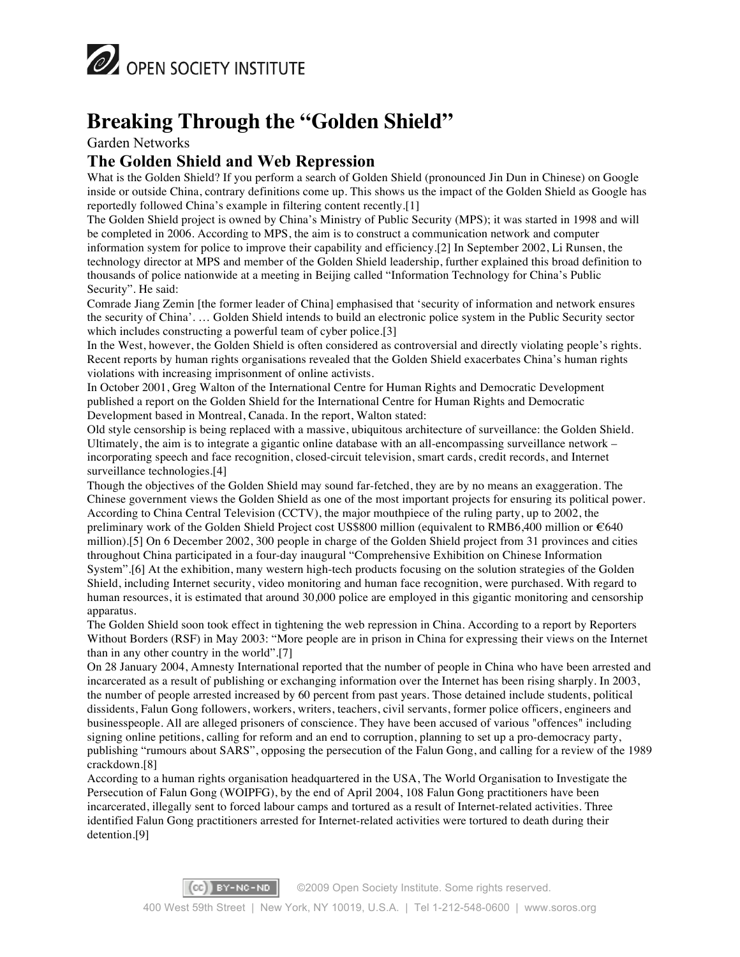

## **Breaking Through the "Golden Shield"**

Garden Networks

#### **The Golden Shield and Web Repression**

What is the Golden Shield? If you perform a search of Golden Shield (pronounced Jin Dun in Chinese) on Google inside or outside China, contrary definitions come up. This shows us the impact of the Golden Shield as Google has reportedly followed China's example in filtering content recently.[1]

The Golden Shield project is owned by China's Ministry of Public Security (MPS); it was started in 1998 and will be completed in 2006. According to MPS, the aim is to construct a communication network and computer information system for police to improve their capability and efficiency.[2] In September 2002, Li Runsen, the technology director at MPS and member of the Golden Shield leadership, further explained this broad definition to thousands of police nationwide at a meeting in Beijing called "Information Technology for China's Public Security". He said:

Comrade Jiang Zemin [the former leader of China] emphasised that 'security of information and network ensures the security of China'. … Golden Shield intends to build an electronic police system in the Public Security sector which includes constructing a powerful team of cyber police.<sup>[3]</sup>

In the West, however, the Golden Shield is often considered as controversial and directly violating people's rights. Recent reports by human rights organisations revealed that the Golden Shield exacerbates China's human rights violations with increasing imprisonment of online activists.

In October 2001, Greg Walton of the International Centre for Human Rights and Democratic Development published a report on the Golden Shield for the International Centre for Human Rights and Democratic Development based in Montreal, Canada. In the report, Walton stated:

Old style censorship is being replaced with a massive, ubiquitous architecture of surveillance: the Golden Shield. Ultimately, the aim is to integrate a gigantic online database with an all-encompassing surveillance network – incorporating speech and face recognition, closed-circuit television, smart cards, credit records, and Internet surveillance technologies.[4]

Though the objectives of the Golden Shield may sound far-fetched, they are by no means an exaggeration. The Chinese government views the Golden Shield as one of the most important projects for ensuring its political power. According to China Central Television (CCTV), the major mouthpiece of the ruling party, up to 2002, the preliminary work of the Golden Shield Project cost US\$800 million (equivalent to RMB6,400 million or €640 million).[5] On 6 December 2002, 300 people in charge of the Golden Shield project from 31 provinces and cities throughout China participated in a four-day inaugural "Comprehensive Exhibition on Chinese Information System".[6] At the exhibition, many western high-tech products focusing on the solution strategies of the Golden Shield, including Internet security, video monitoring and human face recognition, were purchased. With regard to human resources, it is estimated that around 30,000 police are employed in this gigantic monitoring and censorship apparatus.

The Golden Shield soon took effect in tightening the web repression in China. According to a report by Reporters Without Borders (RSF) in May 2003: "More people are in prison in China for expressing their views on the Internet than in any other country in the world".[7]

On 28 January 2004, Amnesty International reported that the number of people in China who have been arrested and incarcerated as a result of publishing or exchanging information over the Internet has been rising sharply. In 2003, the number of people arrested increased by 60 percent from past years. Those detained include students, political dissidents, Falun Gong followers, workers, writers, teachers, civil servants, former police officers, engineers and businesspeople. All are alleged prisoners of conscience. They have been accused of various "offences" including signing online petitions, calling for reform and an end to corruption, planning to set up a pro-democracy party, publishing "rumours about SARS", opposing the persecution of the Falun Gong, and calling for a review of the 1989 crackdown.[8]

According to a human rights organisation headquartered in the USA, The World Organisation to Investigate the Persecution of Falun Gong (WOIPFG), by the end of April 2004, 108 Falun Gong practitioners have been incarcerated, illegally sent to forced labour camps and tortured as a result of Internet-related activities. Three identified Falun Gong practitioners arrested for Internet-related activities were tortured to death during their detention.[9]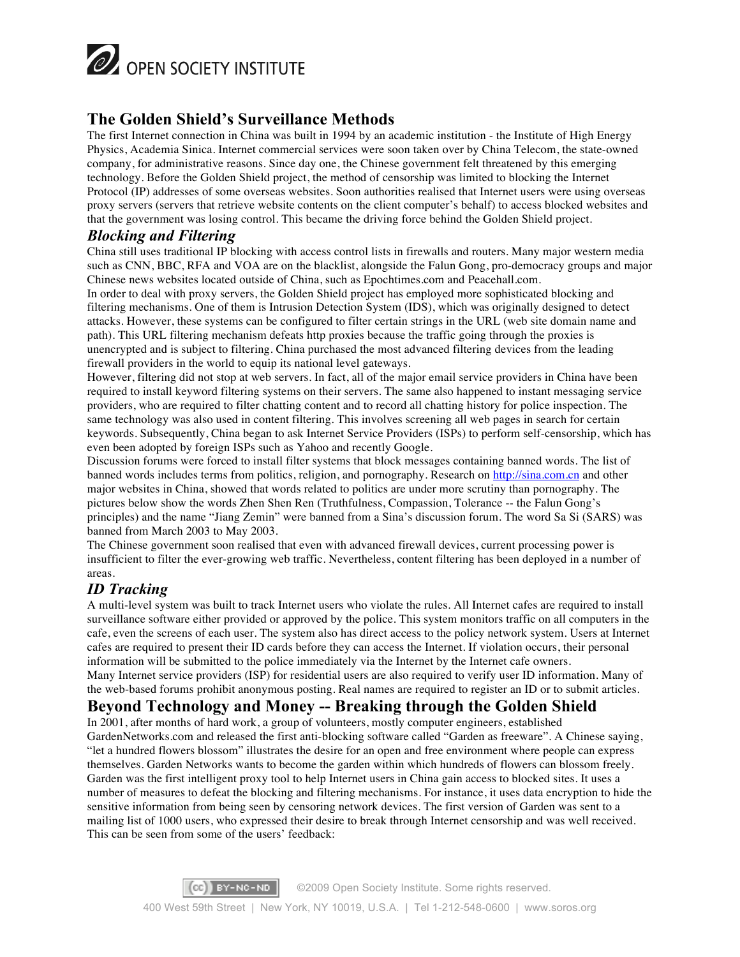

### **The Golden Shield's Surveillance Methods**

The first Internet connection in China was built in 1994 by an academic institution - the Institute of High Energy Physics, Academia Sinica. Internet commercial services were soon taken over by China Telecom, the state-owned company, for administrative reasons. Since day one, the Chinese government felt threatened by this emerging technology. Before the Golden Shield project, the method of censorship was limited to blocking the Internet Protocol (IP) addresses of some overseas websites. Soon authorities realised that Internet users were using overseas proxy servers (servers that retrieve website contents on the client computer's behalf) to access blocked websites and that the government was losing control. This became the driving force behind the Golden Shield project.

#### *Blocking and Filtering*

China still uses traditional IP blocking with access control lists in firewalls and routers. Many major western media such as CNN, BBC, RFA and VOA are on the blacklist, alongside the Falun Gong, pro-democracy groups and major Chinese news websites located outside of China, such as Epochtimes.com and Peacehall.com. In order to deal with proxy servers, the Golden Shield project has employed more sophisticated blocking and filtering mechanisms. One of them is Intrusion Detection System (IDS), which was originally designed to detect attacks. However, these systems can be configured to filter certain strings in the URL (web site domain name and path). This URL filtering mechanism defeats http proxies because the traffic going through the proxies is

unencrypted and is subject to filtering. China purchased the most advanced filtering devices from the leading firewall providers in the world to equip its national level gateways.

However, filtering did not stop at web servers. In fact, all of the major email service providers in China have been required to install keyword filtering systems on their servers. The same also happened to instant messaging service providers, who are required to filter chatting content and to record all chatting history for police inspection. The same technology was also used in content filtering. This involves screening all web pages in search for certain keywords. Subsequently, China began to ask Internet Service Providers (ISPs) to perform self-censorship, which has even been adopted by foreign ISPs such as Yahoo and recently Google.

Discussion forums were forced to install filter systems that block messages containing banned words. The list of banned words includes terms from politics, religion, and pornography. Research on http://sina.com.cn and other major websites in China, showed that words related to politics are under more scrutiny than pornography. The pictures below show the words Zhen Shen Ren (Truthfulness, Compassion, Tolerance -- the Falun Gong's principles) and the name "Jiang Zemin" were banned from a Sina's discussion forum. The word Sa Si (SARS) was banned from March 2003 to May 2003.

The Chinese government soon realised that even with advanced firewall devices, current processing power is insufficient to filter the ever-growing web traffic. Nevertheless, content filtering has been deployed in a number of areas.

#### *ID Tracking*

A multi-level system was built to track Internet users who violate the rules. All Internet cafes are required to install surveillance software either provided or approved by the police. This system monitors traffic on all computers in the cafe, even the screens of each user. The system also has direct access to the policy network system. Users at Internet cafes are required to present their ID cards before they can access the Internet. If violation occurs, their personal information will be submitted to the police immediately via the Internet by the Internet cafe owners. Many Internet service providers (ISP) for residential users are also required to verify user ID information. Many of the web-based forums prohibit anonymous posting. Real names are required to register an ID or to submit articles.

#### **Beyond Technology and Money -- Breaking through the Golden Shield**

In 2001, after months of hard work, a group of volunteers, mostly computer engineers, established GardenNetworks.com and released the first anti-blocking software called "Garden as freeware". A Chinese saying, "let a hundred flowers blossom" illustrates the desire for an open and free environment where people can express themselves. Garden Networks wants to become the garden within which hundreds of flowers can blossom freely. Garden was the first intelligent proxy tool to help Internet users in China gain access to blocked sites. It uses a number of measures to defeat the blocking and filtering mechanisms. For instance, it uses data encryption to hide the sensitive information from being seen by censoring network devices. The first version of Garden was sent to a mailing list of 1000 users, who expressed their desire to break through Internet censorship and was well received. This can be seen from some of the users' feedback: